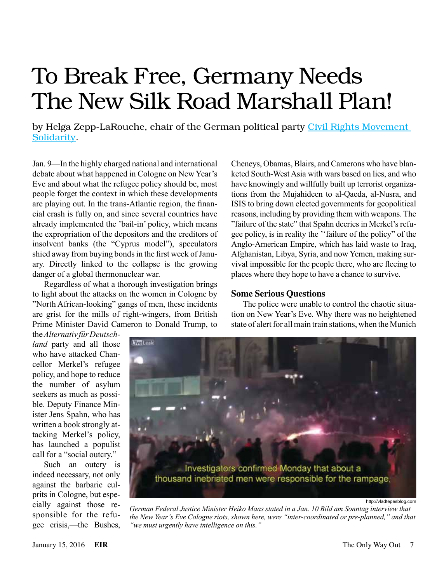# To Break Free, Germany Needs The New Silk Road Marshall Plan!

by Helga Zepp-LaRouche, chair of the German political party Civil Rights Movement [Solidarity](http://www.bueso.de/).

Jan. 9—In the highly charged national and international debate about what happened in Cologne on New Year's Eve and about what the refugee policy should be, most people forget the context in which these developments are playing out. In the trans-Atlantic region, the financial crash is fully on, and since several countries have already implemented the 'bail-in' policy, which means the expropriation of the depositors and the creditors of insolvent banks (the "Cyprus model"), speculators shied away from buying bonds in the first week of January. Directly linked to the collapse is the growing danger of a global thermonuclear war.

Regardless of what a thorough investigation brings to light about the attacks on the women in Cologne by "North African-looking" gangs of men, these incidents are grist for the mills of right-wingers, from British Prime Minister David Cameron to Donald Trump, to

Cheneys, Obamas, Blairs, and Camerons who have blanketed South-West Asia with wars based on lies, and who have knowingly and willfully built up terrorist organizations from the Mujahideen to al-Qaeda, al-Nusra, and ISIS to bring down elected governments for geopolitical reasons, including by providing them with weapons. The "failure of the state" that Spahn decries in Merkel's refugee policy, is in reality the ''failure of the policy" of the Anglo-American Empire, which has laid waste to Iraq, Afghanistan, Libya, Syria, and now Yemen, making survival impossible for the people there, who are fleeing to places where they hope to have a chance to survive.

#### **Some Serious Questions**

The police were unable to control the chaotic situation on New Year's Eve. Why there was no heightened state of alert for all main train stations, when the Munich

the *Alternativ für Deutschland* party and all those who have attacked Chancellor Merkel's refugee policy, and hope to reduce the number of asylum seekers as much as possible. Deputy Finance Minister Jens Spahn, who has written a book strongly attacking Merkel's policy, has launched a populist call for a "social outcry."

Such an outcry is indeed necessary, not only against the barbaric culprits in Cologne, but especially against those responsible for the refugee crisis,—the Bushes,



http://vladtepesblog.com

*German Federal Justice Minister Heiko Maas stated in a Jan. 10 Bild am Sonntag interview that the New Year's Eve Cologne riots, shown here, were "inter-coordinated or pre-planned," and that "we must urgently have intelligence on this."*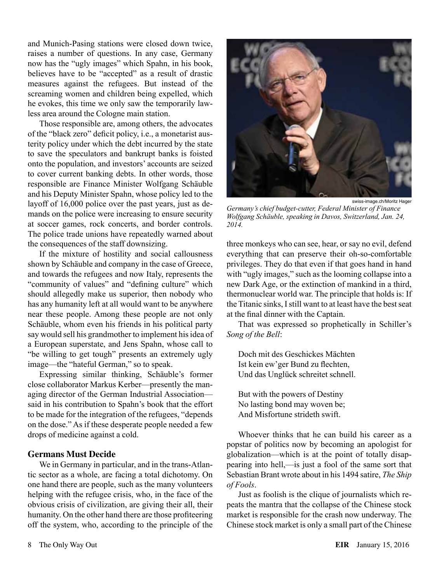and Munich-Pasing stations were closed down twice, raises a number of questions. In any case, Germany now has the "ugly images" which Spahn, in his book, believes have to be "accepted" as a result of drastic measures against the refugees. But instead of the screaming women and children being expelled, which he evokes, this time we only saw the temporarily lawless area around the Cologne main station.

Those responsible are, among others, the advocates of the "black zero" deficit policy, i.e., a monetarist austerity policy under which the debt incurred by the state to save the speculators and bankrupt banks is foisted onto the population, and investors' accounts are seized to cover current banking debts. In other words, those responsible are Finance Minister Wolfgang Schäuble and his Deputy Minister Spahn, whose policy led to the layoff of 16,000 police over the past years, just as demands on the police were increasing to ensure security at soccer games, rock concerts, and border controls. The police trade unions have repeatedly warned about the consequences of the staff downsizing.

If the mixture of hostility and social callousness shown by Schäuble and company in the case of Greece, and towards the refugees and now Italy, represents the "community of values" and "defining culture" which should allegedly make us superior, then nobody who has any humanity left at all would want to be anywhere near these people. Among these people are not only Schäuble, whom even his friends in his political party say would sell his grandmother to implement his idea of a European superstate, and Jens Spahn, whose call to "be willing to get tough" presents an extremely ugly image—the "hateful German," so to speak.

Expressing similar thinking, Schäuble's former close collaborator Markus Kerber—presently the managing director of the German Industrial Association said in his contribution to Spahn's book that the effort to be made for the integration of the refugees, "depends on the dose." As if these desperate people needed a few drops of medicine against a cold.

#### **Germans Must Decide**

We in Germany in particular, and in the trans-Atlantic sector as a whole, are facing a total dichotomy. On one hand there are people, such as the many volunteers helping with the refugee crisis, who, in the face of the obvious crisis of civilization, are giving their all, their humanity. On the other hand there are those profiteering off the system, who, according to the principle of the



swiss-image.ch/Moritz Hager

*Germany's chief budget-cutter, Federal Minister of Finance Wolfgang Schäuble, speaking in Davos, Switzerland, Jan. 24, 2014.*

three monkeys who can see, hear, or say no evil, defend everything that can preserve their oh-so-comfortable privileges. They do that even if that goes hand in hand with "ugly images," such as the looming collapse into a new Dark Age, or the extinction of mankind in a third, thermonuclear world war. The principle that holds is: If the Titanic sinks, I still want to at least have the best seat at the final dinner with the Captain.

That was expressed so prophetically in Schiller's *Song of the Bell*:

Doch mit des Geschickes Mächten Ist kein ew'ger Bund zu flechten, Und das Unglück schreitet schnell.

But with the powers of Destiny No lasting bond may woven be; And Misfortune strideth swift.

Whoever thinks that he can build his career as a popstar of politics now by becoming an apologist for globalization—which is at the point of totally disappearing into hell,—is just a fool of the same sort that Sebastian Brant wrote about in his 1494 satire, *The Ship of Fools*.

Just as foolish is the clique of journalists which repeats the mantra that the collapse of the Chinese stock market is responsible for the crash now underway. The Chinese stock market is only a small part of the Chinese